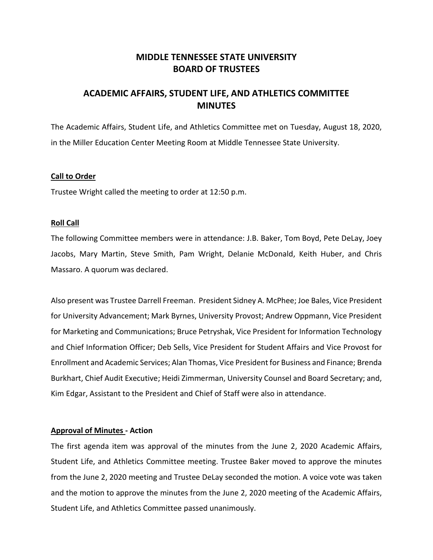# **MIDDLE TENNESSEE STATE UNIVERSITY BOARD OF TRUSTEES**

# **ACADEMIC AFFAIRS, STUDENT LIFE, AND ATHLETICS COMMITTEE MINUTES**

The Academic Affairs, Student Life, and Athletics Committee met on Tuesday, August 18, 2020, in the Miller Education Center Meeting Room at Middle Tennessee State University.

### **Call to Order**

Trustee Wright called the meeting to order at 12:50 p.m.

#### **Roll Call**

The following Committee members were in attendance: J.B. Baker, Tom Boyd, Pete DeLay, Joey Jacobs, Mary Martin, Steve Smith, Pam Wright, Delanie McDonald, Keith Huber, and Chris Massaro. A quorum was declared.

Also present was Trustee Darrell Freeman. President Sidney A. McPhee; Joe Bales, Vice President for University Advancement; Mark Byrnes, University Provost; Andrew Oppmann, Vice President for Marketing and Communications; Bruce Petryshak, Vice President for Information Technology and Chief Information Officer; Deb Sells, Vice President for Student Affairs and Vice Provost for Enrollment and Academic Services; Alan Thomas, Vice President for Business and Finance; Brenda Burkhart, Chief Audit Executive; Heidi Zimmerman, University Counsel and Board Secretary; and, Kim Edgar, Assistant to the President and Chief of Staff were also in attendance.

#### **Approval of Minutes - Action**

The first agenda item was approval of the minutes from the June 2, 2020 Academic Affairs, Student Life, and Athletics Committee meeting. Trustee Baker moved to approve the minutes from the June 2, 2020 meeting and Trustee DeLay seconded the motion. A voice vote was taken and the motion to approve the minutes from the June 2, 2020 meeting of the Academic Affairs, Student Life, and Athletics Committee passed unanimously.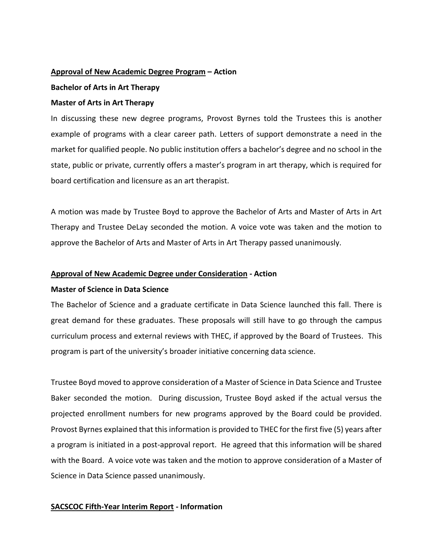## **Approval of New Academic Degree Program – Action**

## **Bachelor of Arts in Art Therapy**

## **Master of Arts in Art Therapy**

In discussing these new degree programs, Provost Byrnes told the Trustees this is another example of programs with a clear career path. Letters of support demonstrate a need in the market for qualified people. No public institution offers a bachelor's degree and no school in the state, public or private, currently offers a master's program in art therapy, which is required for board certification and licensure as an art therapist.

A motion was made by Trustee Boyd to approve the Bachelor of Arts and Master of Arts in Art Therapy and Trustee DeLay seconded the motion. A voice vote was taken and the motion to approve the Bachelor of Arts and Master of Arts in Art Therapy passed unanimously.

## **Approval of New Academic Degree under Consideration - Action**

# **Master of Science in Data Science**

The Bachelor of Science and a graduate certificate in Data Science launched this fall. There is great demand for these graduates. These proposals will still have to go through the campus curriculum process and external reviews with THEC, if approved by the Board of Trustees. This program is part of the university's broader initiative concerning data science.

Trustee Boyd moved to approve consideration of a Master of Science in Data Science and Trustee Baker seconded the motion. During discussion, Trustee Boyd asked if the actual versus the projected enrollment numbers for new programs approved by the Board could be provided. Provost Byrnes explained that this information is provided to THEC for the first five (5) years after a program is initiated in a post-approval report. He agreed that this information will be shared with the Board. A voice vote was taken and the motion to approve consideration of a Master of Science in Data Science passed unanimously.

# **SACSCOC Fifth-Year Interim Report - Information**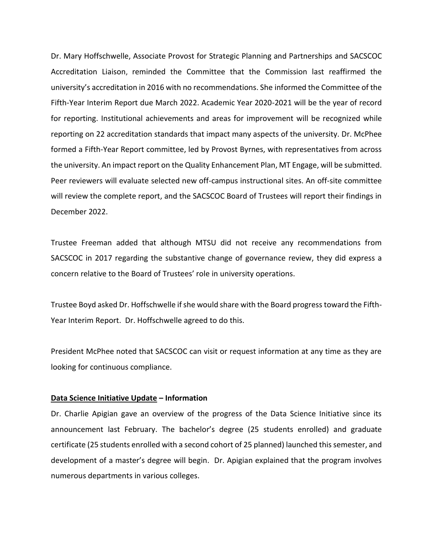Dr. Mary Hoffschwelle, Associate Provost for Strategic Planning and Partnerships and SACSCOC Accreditation Liaison, reminded the Committee that the Commission last reaffirmed the university's accreditation in 2016 with no recommendations. She informed the Committee of the Fifth-Year Interim Report due March 2022. Academic Year 2020-2021 will be the year of record for reporting. Institutional achievements and areas for improvement will be recognized while reporting on 22 accreditation standards that impact many aspects of the university. Dr. McPhee formed a Fifth-Year Report committee, led by Provost Byrnes, with representatives from across the university. An impact report on the Quality Enhancement Plan, MT Engage, will be submitted. Peer reviewers will evaluate selected new off-campus instructional sites. An off-site committee will review the complete report, and the SACSCOC Board of Trustees will report their findings in December 2022.

Trustee Freeman added that although MTSU did not receive any recommendations from SACSCOC in 2017 regarding the substantive change of governance review, they did express a concern relative to the Board of Trustees' role in university operations.

Trustee Boyd asked Dr. Hoffschwelle if she would share with the Board progress toward the Fifth-Year Interim Report. Dr. Hoffschwelle agreed to do this.

President McPhee noted that SACSCOC can visit or request information at any time as they are looking for continuous compliance.

#### **Data Science Initiative Update – Information**

Dr. Charlie Apigian gave an overview of the progress of the Data Science Initiative since its announcement last February. The bachelor's degree (25 students enrolled) and graduate certificate (25 students enrolled with a second cohort of 25 planned) launched this semester, and development of a master's degree will begin. Dr. Apigian explained that the program involves numerous departments in various colleges.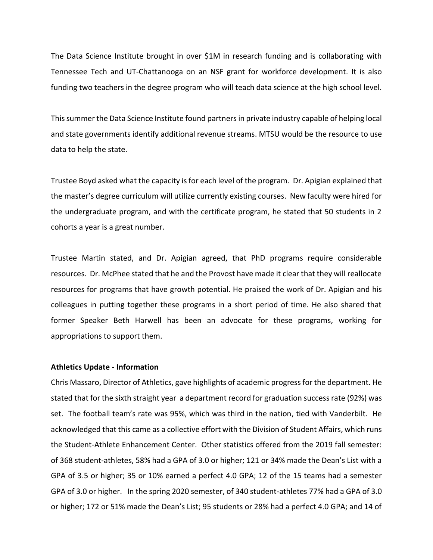The Data Science Institute brought in over \$1M in research funding and is collaborating with Tennessee Tech and UT-Chattanooga on an NSF grant for workforce development. It is also funding two teachers in the degree program who will teach data science at the high school level.

This summer the Data Science Institute found partners in private industry capable of helping local and state governments identify additional revenue streams. MTSU would be the resource to use data to help the state.

Trustee Boyd asked what the capacity is for each level of the program. Dr. Apigian explained that the master's degree curriculum will utilize currently existing courses. New faculty were hired for the undergraduate program, and with the certificate program, he stated that 50 students in 2 cohorts a year is a great number.

Trustee Martin stated, and Dr. Apigian agreed, that PhD programs require considerable resources. Dr. McPhee stated that he and the Provost have made it clear that they will reallocate resources for programs that have growth potential. He praised the work of Dr. Apigian and his colleagues in putting together these programs in a short period of time. He also shared that former Speaker Beth Harwell has been an advocate for these programs, working for appropriations to support them.

#### **Athletics Update - Information**

Chris Massaro, Director of Athletics, gave highlights of academic progress for the department. He stated that for the sixth straight year a department record for graduation success rate (92%) was set. The football team's rate was 95%, which was third in the nation, tied with Vanderbilt. He acknowledged that this came as a collective effort with the Division of Student Affairs, which runs the Student-Athlete Enhancement Center. Other statistics offered from the 2019 fall semester: of 368 student-athletes, 58% had a GPA of 3.0 or higher; 121 or 34% made the Dean's List with a GPA of 3.5 or higher; 35 or 10% earned a perfect 4.0 GPA; 12 of the 15 teams had a semester GPA of 3.0 or higher. In the spring 2020 semester, of 340 student-athletes 77% had a GPA of 3.0 or higher; 172 or 51% made the Dean's List; 95 students or 28% had a perfect 4.0 GPA; and 14 of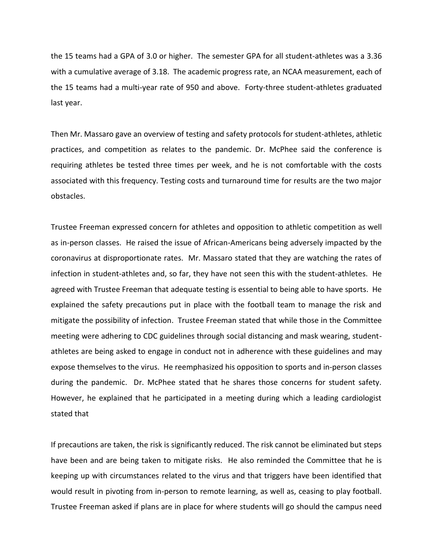the 15 teams had a GPA of 3.0 or higher. The semester GPA for all student-athletes was a 3.36 with a cumulative average of 3.18. The academic progress rate, an NCAA measurement, each of the 15 teams had a multi-year rate of 950 and above. Forty-three student-athletes graduated last year.

Then Mr. Massaro gave an overview of testing and safety protocols for student-athletes, athletic practices, and competition as relates to the pandemic. Dr. McPhee said the conference is requiring athletes be tested three times per week, and he is not comfortable with the costs associated with this frequency. Testing costs and turnaround time for results are the two major obstacles.

Trustee Freeman expressed concern for athletes and opposition to athletic competition as well as in-person classes. He raised the issue of African-Americans being adversely impacted by the coronavirus at disproportionate rates. Mr. Massaro stated that they are watching the rates of infection in student-athletes and, so far, they have not seen this with the student-athletes. He agreed with Trustee Freeman that adequate testing is essential to being able to have sports. He explained the safety precautions put in place with the football team to manage the risk and mitigate the possibility of infection. Trustee Freeman stated that while those in the Committee meeting were adhering to CDC guidelines through social distancing and mask wearing, studentathletes are being asked to engage in conduct not in adherence with these guidelines and may expose themselves to the virus. He reemphasized his opposition to sports and in-person classes during the pandemic. Dr. McPhee stated that he shares those concerns for student safety. However, he explained that he participated in a meeting during which a leading cardiologist stated that

If precautions are taken, the risk is significantly reduced. The risk cannot be eliminated but steps have been and are being taken to mitigate risks. He also reminded the Committee that he is keeping up with circumstances related to the virus and that triggers have been identified that would result in pivoting from in-person to remote learning, as well as, ceasing to play football. Trustee Freeman asked if plans are in place for where students will go should the campus need